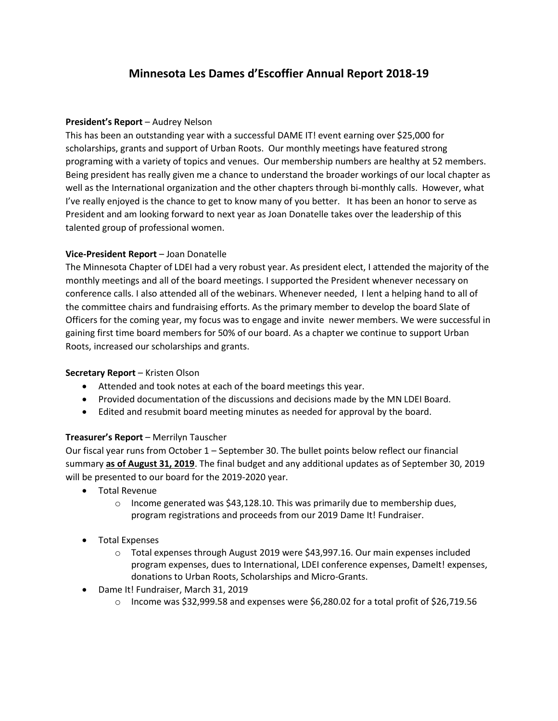# **Minnesota Les Dames d'Escoffier Annual Report 2018-19**

## **President's Report** – Audrey Nelson

This has been an outstanding year with a successful DAME IT! event earning over \$25,000 for scholarships, grants and support of Urban Roots. Our monthly meetings have featured strong programing with a variety of topics and venues. Our membership numbers are healthy at 52 members. Being president has really given me a chance to understand the broader workings of our local chapter as well as the International organization and the other chapters through bi-monthly calls. However, what I've really enjoyed is the chance to get to know many of you better. It has been an honor to serve as President and am looking forward to next year as Joan Donatelle takes over the leadership of this talented group of professional women.

## **Vice-President Report** – Joan Donatelle

The Minnesota Chapter of LDEI had a very robust year. As president elect, I attended the majority of the monthly meetings and all of the board meetings. I supported the President whenever necessary on conference calls. I also attended all of the webinars. Whenever needed, I lent a helping hand to all of the committee chairs and fundraising efforts. As the primary member to develop the board Slate of Officers for the coming year, my focus was to engage and invite newer members. We were successful in gaining first time board members for 50% of our board. As a chapter we continue to support Urban Roots, increased our scholarships and grants.

# **Secretary Report** – Kristen Olson

- Attended and took notes at each of the board meetings this year.
- Provided documentation of the discussions and decisions made by the MN LDEI Board.
- Edited and resubmit board meeting minutes as needed for approval by the board.

#### **Treasurer's Report** – Merrilyn Tauscher

Our fiscal year runs from October 1 – September 30. The bullet points below reflect our financial summary **as of August 31, 2019**. The final budget and any additional updates as of September 30, 2019 will be presented to our board for the 2019-2020 year.

- Total Revenue
	- $\circ$  Income generated was \$43,128.10. This was primarily due to membership dues, program registrations and proceeds from our 2019 Dame It! Fundraiser.
- Total Expenses
	- $\circ$  Total expenses through August 2019 were \$43,997.16. Our main expenses included program expenses, dues to International, LDEI conference expenses, DameIt! expenses, donations to Urban Roots, Scholarships and Micro-Grants.
- Dame It! Fundraiser, March 31, 2019
	- $\circ$  Income was \$32,999.58 and expenses were \$6,280.02 for a total profit of \$26,719.56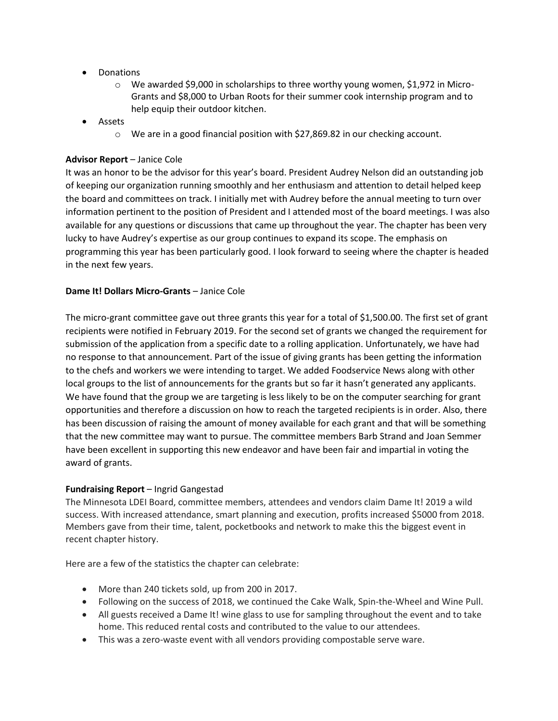- Donations
	- o We awarded \$9,000 in scholarships to three worthy young women, \$1,972 in Micro-Grants and \$8,000 to Urban Roots for their summer cook internship program and to help equip their outdoor kitchen.
- Assets
	- o We are in a good financial position with \$27,869.82 in our checking account.

#### **Advisor Report** – Janice Cole

It was an honor to be the advisor for this year's board. President Audrey Nelson did an outstanding job of keeping our organization running smoothly and her enthusiasm and attention to detail helped keep the board and committees on track. I initially met with Audrey before the annual meeting to turn over information pertinent to the position of President and I attended most of the board meetings. I was also available for any questions or discussions that came up throughout the year. The chapter has been very lucky to have Audrey's expertise as our group continues to expand its scope. The emphasis on programming this year has been particularly good. I look forward to seeing where the chapter is headed in the next few years.

#### **Dame It! Dollars Micro-Grants - Janice Cole**

The micro-grant committee gave out three grants this year for a total of \$1,500.00. The first set of grant recipients were notified in February 2019. For the second set of grants we changed the requirement for submission of the application from a specific date to a rolling application. Unfortunately, we have had no response to that announcement. Part of the issue of giving grants has been getting the information to the chefs and workers we were intending to target. We added Foodservice News along with other local groups to the list of announcements for the grants but so far it hasn't generated any applicants. We have found that the group we are targeting is less likely to be on the computer searching for grant opportunities and therefore a discussion on how to reach the targeted recipients is in order. Also, there has been discussion of raising the amount of money available for each grant and that will be something that the new committee may want to pursue. The committee members Barb Strand and Joan Semmer have been excellent in supporting this new endeavor and have been fair and impartial in voting the award of grants.

#### **Fundraising Report** – Ingrid Gangestad

The Minnesota LDEI Board, committee members, attendees and vendors claim Dame It! 2019 a wild success. With increased attendance, smart planning and execution, profits increased \$5000 from 2018. Members gave from their time, talent, pocketbooks and network to make this the biggest event in recent chapter history.

Here are a few of the statistics the chapter can celebrate:

- More than 240 tickets sold, up from 200 in 2017.
- Following on the success of 2018, we continued the Cake Walk, Spin-the-Wheel and Wine Pull.
- All guests received a Dame It! wine glass to use for sampling throughout the event and to take home. This reduced rental costs and contributed to the value to our attendees.
- This was a zero-waste event with all vendors providing compostable serve ware.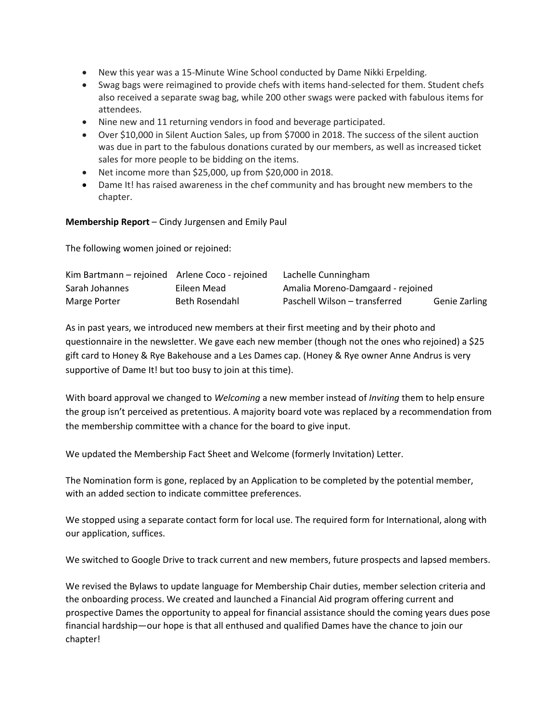- New this year was a 15-Minute Wine School conducted by Dame Nikki Erpelding.
- Swag bags were reimagined to provide chefs with items hand-selected for them. Student chefs also received a separate swag bag, while 200 other swags were packed with fabulous items for attendees.
- Nine new and 11 returning vendors in food and beverage participated.
- Over \$10,000 in Silent Auction Sales, up from \$7000 in 2018. The success of the silent auction was due in part to the fabulous donations curated by our members, as well as increased ticket sales for more people to be bidding on the items.
- Net income more than \$25,000, up from \$20,000 in 2018.
- Dame It! has raised awareness in the chef community and has brought new members to the chapter.

#### **Membership Report** – Cindy Jurgensen and Emily Paul

The following women joined or rejoined:

| Kim Bartmann – rejoined Arlene Coco - rejoined |                | Lachelle Cunningham               |                      |
|------------------------------------------------|----------------|-----------------------------------|----------------------|
| Sarah Johannes                                 | Eileen Mead    | Amalia Moreno-Damgaard - rejoined |                      |
| Marge Porter                                   | Beth Rosendahl | Paschell Wilson - transferred     | <b>Genie Zarling</b> |

As in past years, we introduced new members at their first meeting and by their photo and questionnaire in the newsletter. We gave each new member (though not the ones who rejoined) a \$25 gift card to Honey & Rye Bakehouse and a Les Dames cap. (Honey & Rye owner Anne Andrus is very supportive of Dame It! but too busy to join at this time).

With board approval we changed to *Welcoming* a new member instead of *Inviting* them to help ensure the group isn't perceived as pretentious. A majority board vote was replaced by a recommendation from the membership committee with a chance for the board to give input.

We updated the Membership Fact Sheet and Welcome (formerly Invitation) Letter.

The Nomination form is gone, replaced by an Application to be completed by the potential member, with an added section to indicate committee preferences.

We stopped using a separate contact form for local use. The required form for International, along with our application, suffices.

We switched to Google Drive to track current and new members, future prospects and lapsed members.

We revised the Bylaws to update language for Membership Chair duties, member selection criteria and the onboarding process. We created and launched a Financial Aid program offering current and prospective Dames the opportunity to appeal for financial assistance should the coming years dues pose financial hardship—our hope is that all enthused and qualified Dames have the chance to join our chapter!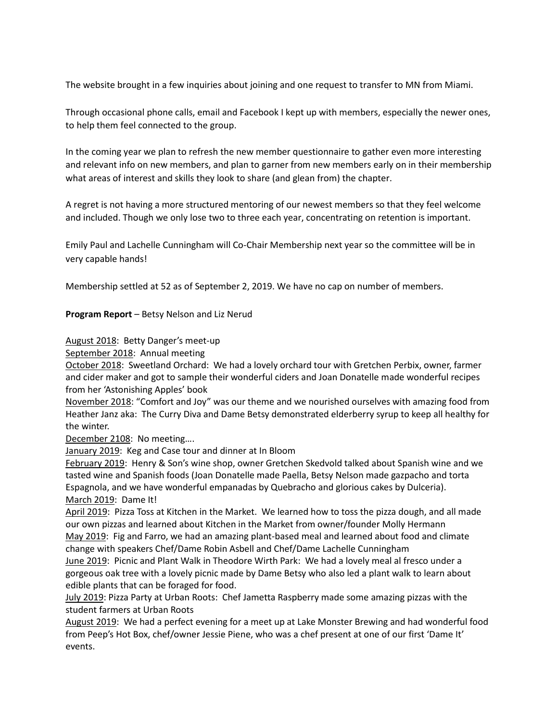The website brought in a few inquiries about joining and one request to transfer to MN from Miami.

Through occasional phone calls, email and Facebook I kept up with members, especially the newer ones, to help them feel connected to the group.

In the coming year we plan to refresh the new member questionnaire to gather even more interesting and relevant info on new members, and plan to garner from new members early on in their membership what areas of interest and skills they look to share (and glean from) the chapter.

A regret is not having a more structured mentoring of our newest members so that they feel welcome and included. Though we only lose two to three each year, concentrating on retention is important.

Emily Paul and Lachelle Cunningham will Co-Chair Membership next year so the committee will be in very capable hands!

Membership settled at 52 as of September 2, 2019. We have no cap on number of members.

## **Program Report** – Betsy Nelson and Liz Nerud

August 2018: Betty Danger's meet-up

September 2018: Annual meeting

October 2018: Sweetland Orchard: We had a lovely orchard tour with Gretchen Perbix, owner, farmer and cider maker and got to sample their wonderful ciders and Joan Donatelle made wonderful recipes from her 'Astonishing Apples' book

November 2018: "Comfort and Joy" was our theme and we nourished ourselves with amazing food from Heather Janz aka: The Curry Diva and Dame Betsy demonstrated elderberry syrup to keep all healthy for the winter.

December 2108: No meeting….

January 2019: Keg and Case tour and dinner at In Bloom

February 2019: Henry & Son's wine shop, owner Gretchen Skedvold talked about Spanish wine and we tasted wine and Spanish foods (Joan Donatelle made Paella, Betsy Nelson made gazpacho and torta Espagnola, and we have wonderful empanadas by Quebracho and glorious cakes by Dulceria). March 2019: Dame It!

April 2019: Pizza Toss at Kitchen in the Market. We learned how to toss the pizza dough, and all made our own pizzas and learned about Kitchen in the Market from owner/founder Molly Hermann May 2019: Fig and Farro, we had an amazing plant-based meal and learned about food and climate change with speakers Chef/Dame Robin Asbell and Chef/Dame Lachelle Cunningham

June 2019: Picnic and Plant Walk in Theodore Wirth Park: We had a lovely meal al fresco under a gorgeous oak tree with a lovely picnic made by Dame Betsy who also led a plant walk to learn about edible plants that can be foraged for food.

July 2019: Pizza Party at Urban Roots: Chef Jametta Raspberry made some amazing pizzas with the student farmers at Urban Roots

August 2019: We had a perfect evening for a meet up at Lake Monster Brewing and had wonderful food from Peep's Hot Box, chef/owner Jessie Piene, who was a chef present at one of our first 'Dame It' events.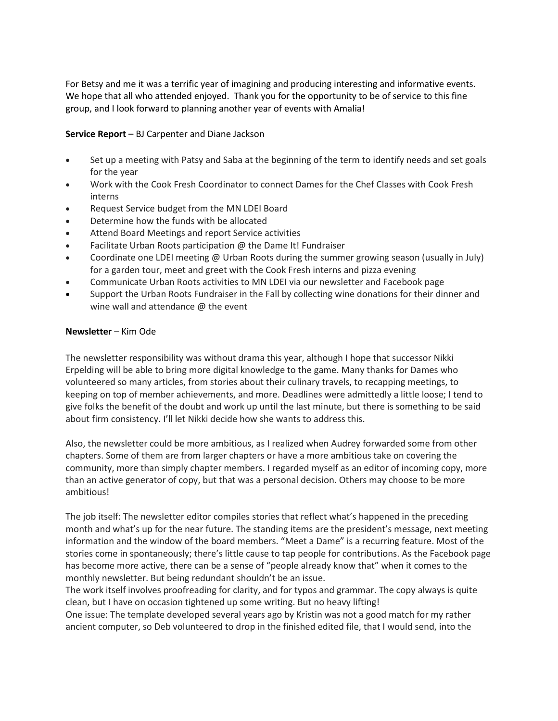For Betsy and me it was a terrific year of imagining and producing interesting and informative events. We hope that all who attended enjoyed. Thank you for the opportunity to be of service to this fine group, and I look forward to planning another year of events with Amalia!

## **Service Report** – BJ Carpenter and Diane Jackson

- Set up a meeting with Patsy and Saba at the beginning of the term to identify needs and set goals for the year
- Work with the Cook Fresh Coordinator to connect Dames for the Chef Classes with Cook Fresh interns
- Request Service budget from the MN LDEI Board
- Determine how the funds with be allocated
- Attend Board Meetings and report Service activities
- Facilitate Urban Roots participation @ the Dame It! Fundraiser
- Coordinate one LDEI meeting @ Urban Roots during the summer growing season (usually in July) for a garden tour, meet and greet with the Cook Fresh interns and pizza evening
- Communicate Urban Roots activities to MN LDEI via our newsletter and Facebook page
- Support the Urban Roots Fundraiser in the Fall by collecting wine donations for their dinner and wine wall and attendance @ the event

#### **Newsletter** – Kim Ode

The newsletter responsibility was without drama this year, although I hope that successor Nikki Erpelding will be able to bring more digital knowledge to the game. Many thanks for Dames who volunteered so many articles, from stories about their culinary travels, to recapping meetings, to keeping on top of member achievements, and more. Deadlines were admittedly a little loose; I tend to give folks the benefit of the doubt and work up until the last minute, but there is something to be said about firm consistency. I'll let Nikki decide how she wants to address this.

Also, the newsletter could be more ambitious, as I realized when Audrey forwarded some from other chapters. Some of them are from larger chapters or have a more ambitious take on covering the community, more than simply chapter members. I regarded myself as an editor of incoming copy, more than an active generator of copy, but that was a personal decision. Others may choose to be more ambitious!

The job itself: The newsletter editor compiles stories that reflect what's happened in the preceding month and what's up for the near future. The standing items are the president's message, next meeting information and the window of the board members. "Meet a Dame" is a recurring feature. Most of the stories come in spontaneously; there's little cause to tap people for contributions. As the Facebook page has become more active, there can be a sense of "people already know that" when it comes to the monthly newsletter. But being redundant shouldn't be an issue.

The work itself involves proofreading for clarity, and for typos and grammar. The copy always is quite clean, but I have on occasion tightened up some writing. But no heavy lifting!

One issue: The template developed several years ago by Kristin was not a good match for my rather ancient computer, so Deb volunteered to drop in the finished edited file, that I would send, into the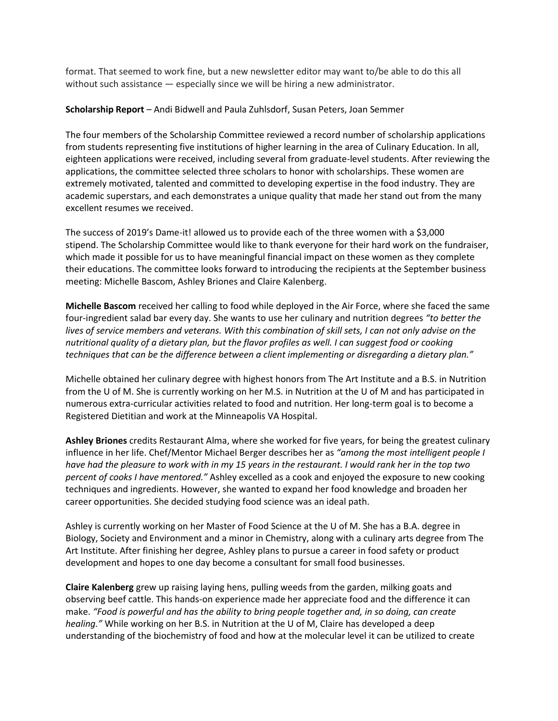format. That seemed to work fine, but a new newsletter editor may want to/be able to do this all without such assistance — especially since we will be hiring a new administrator.

#### **Scholarship Report** – Andi Bidwell and Paula Zuhlsdorf, Susan Peters, Joan Semmer

The four members of the Scholarship Committee reviewed a record number of scholarship applications from students representing five institutions of higher learning in the area of Culinary Education. In all, eighteen applications were received, including several from graduate-level students. After reviewing the applications, the committee selected three scholars to honor with scholarships. These women are extremely motivated, talented and committed to developing expertise in the food industry. They are academic superstars, and each demonstrates a unique quality that made her stand out from the many excellent resumes we received.

The success of 2019's Dame-it! allowed us to provide each of the three women with a \$3,000 stipend. The Scholarship Committee would like to thank everyone for their hard work on the fundraiser, which made it possible for us to have meaningful financial impact on these women as they complete their educations. The committee looks forward to introducing the recipients at the September business meeting: Michelle Bascom, Ashley Briones and Claire Kalenberg.

**Michelle Bascom** received her calling to food while deployed in the Air Force, where she faced the same four-ingredient salad bar every day. She wants to use her culinary and nutrition degrees *"to better the lives of service members and veterans. With this combination of skill sets, I can not only advise on the nutritional quality of a dietary plan, but the flavor profiles as well. I can suggest food or cooking techniques that can be the difference between a client implementing or disregarding a dietary plan."*

Michelle obtained her culinary degree with highest honors from The Art Institute and a B.S. in Nutrition from the U of M. She is currently working on her M.S. in Nutrition at the U of M and has participated in numerous extra-curricular activities related to food and nutrition. Her long-term goal is to become a Registered Dietitian and work at the Minneapolis VA Hospital.

**Ashley Briones** credits Restaurant Alma, where she worked for five years, for being the greatest culinary influence in her life. Chef/Mentor Michael Berger describes her as *"among the most intelligent people I have had the pleasure to work with in my 15 years in the restaurant. I would rank her in the top two percent of cooks I have mentored."* Ashley excelled as a cook and enjoyed the exposure to new cooking techniques and ingredients. However, she wanted to expand her food knowledge and broaden her career opportunities. She decided studying food science was an ideal path.

Ashley is currently working on her Master of Food Science at the U of M. She has a B.A. degree in Biology, Society and Environment and a minor in Chemistry, along with a culinary arts degree from The Art Institute. After finishing her degree, Ashley plans to pursue a career in food safety or product development and hopes to one day become a consultant for small food businesses.

**Claire Kalenberg** grew up raising laying hens, pulling weeds from the garden, milking goats and observing beef cattle. This hands-on experience made her appreciate food and the difference it can make. *"Food is powerful and has the ability to bring people together and, in so doing, can create healing."* While working on her B.S. in Nutrition at the U of M, Claire has developed a deep understanding of the biochemistry of food and how at the molecular level it can be utilized to create